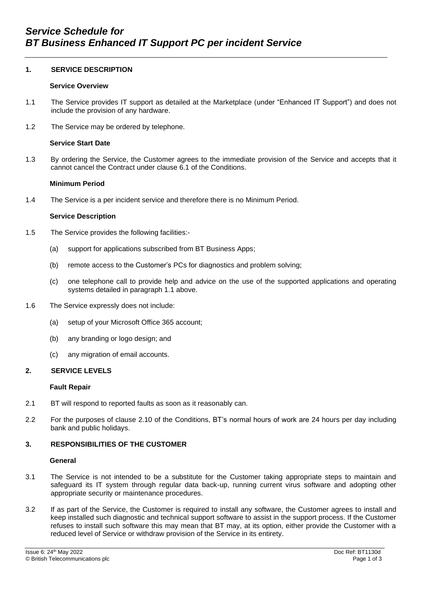# **1. SERVICE DESCRIPTION**

### **Service Overview**

- 1.1 The Service provides IT support as detailed at the Marketplace (under "Enhanced IT Support") and does not include the provision of any hardware.
- 1.2 The Service may be ordered by telephone.

# **Service Start Date**

1.3 By ordering the Service, the Customer agrees to the immediate provision of the Service and accepts that it cannot cancel the Contract under clause 6.1 of the Conditions.

### **Minimum Period**

1.4 The Service is a per incident service and therefore there is no Minimum Period.

### **Service Description**

- 1.5 The Service provides the following facilities:-
	- (a) support for applications subscribed from BT Business Apps;
	- (b) remote access to the Customer's PCs for diagnostics and problem solving;
	- (c) one telephone call to provide help and advice on the use of the supported applications and operating systems detailed in paragraph 1.1 above.
- 1.6 The Service expressly does not include:
	- (a) setup of your Microsoft Office 365 account;
	- (b) any branding or logo design; and
	- (c) any migration of email accounts.

# **2. SERVICE LEVELS**

#### **Fault Repair**

- 2.1 BT will respond to reported faults as soon as it reasonably can.
- 2.2 For the purposes of clause 2.10 of the Conditions, BT's normal hours of work are 24 hours per day including bank and public holidays.

# **3. RESPONSIBILITIES OF THE CUSTOMER**

#### **General**

- 3.1 The Service is not intended to be a substitute for the Customer taking appropriate steps to maintain and safeguard its IT system through regular data back-up, running current virus software and adopting other appropriate security or maintenance procedures.
- 3.2 If as part of the Service, the Customer is required to install any software, the Customer agrees to install and keep installed such diagnostic and technical support software to assist in the support process. If the Customer refuses to install such software this may mean that BT may, at its option, either provide the Customer with a reduced level of Service or withdraw provision of the Service in its entirety.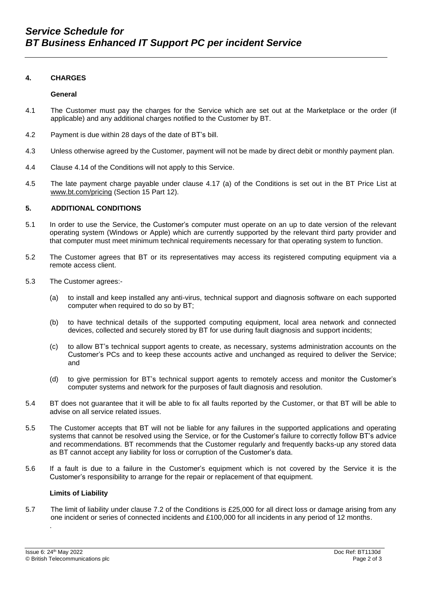### **4. CHARGES**

#### **General**

- 4.1 The Customer must pay the charges for the Service which are set out at the Marketplace or the order (if applicable) and any additional charges notified to the Customer by BT.
- 4.2 Payment is due within 28 days of the date of BT's bill.
- 4.3 Unless otherwise agreed by the Customer, payment will not be made by direct debit or monthly payment plan*.*
- 4.4 Clause 4.14 of the Conditions will not apply to this Service.
- 4.5 The late payment charge payable under clause 4.17 (a) of the Conditions is set out in the BT Price List at [www.bt.com/pricing](http://www.bt.com/pricing) (Section 15 Part 12).

### **5. ADDITIONAL CONDITIONS**

- 5.1 In order to use the Service, the Customer's computer must operate on an up to date version of the relevant operating system (Windows or Apple) which are currently supported by the relevant third party provider and that computer must meet minimum technical requirements necessary for that operating system to function.
- 5.2 The Customer agrees that BT or its representatives may access its registered computing equipment via a remote access client.
- 5.3 The Customer agrees:-
	- (a) to install and keep installed any anti-virus, technical support and diagnosis software on each supported computer when required to do so by BT;
	- (b) to have technical details of the supported computing equipment, local area network and connected devices, collected and securely stored by BT for use during fault diagnosis and support incidents;
	- (c) to allow BT's technical support agents to create, as necessary, systems administration accounts on the Customer's PCs and to keep these accounts active and unchanged as required to deliver the Service; and
	- (d) to give permission for BT's technical support agents to remotely access and monitor the Customer's computer systems and network for the purposes of fault diagnosis and resolution.
- 5.4 BT does not guarantee that it will be able to fix all faults reported by the Customer, or that BT will be able to advise on all service related issues.
- 5.5 The Customer accepts that BT will not be liable for any failures in the supported applications and operating systems that cannot be resolved using the Service, or for the Customer's failure to correctly follow BT's advice and recommendations. BT recommends that the Customer regularly and frequently backs-up any stored data as BT cannot accept any liability for loss or corruption of the Customer's data.
- 5.6 If a fault is due to a failure in the Customer's equipment which is not covered by the Service it is the Customer's responsibility to arrange for the repair or replacement of that equipment.

### **Limits of Liability**

5.7 The limit of liability under clause 7.2 of the Conditions is £25,000 for all direct loss or damage arising from any one incident or series of connected incidents and £100,000 for all incidents in any period of 12 months.

.